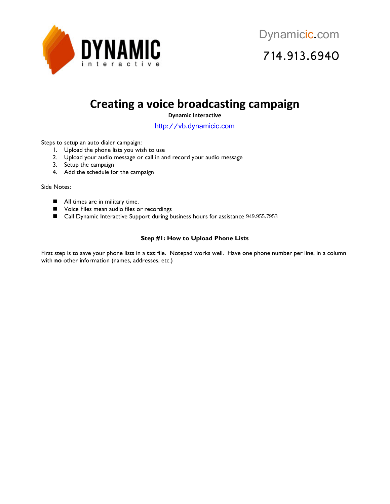

### **Creating a voice broadcasting campaign**

**Dynamic Interactive**

[http://vb.dynamicic.com](http://vb.dynamicic.com/) 

Steps to setup an auto dialer campaign:

- 1. Upload the phone lists you wish to use
- 2. Upload your audio message or call in and record your audio message
- 3. Setup the campaign
- 4. Add the schedule for the campaign

Side Notes:

- All times are in military time.
- **National Voice Files mean audio files or recordings**
- Call Dynamic Interactive Support during business hours for assistance 949.955.7953

### **Step #1: How to Upload Phone Lists**

First step is to save your phone lists in a **txt** file. Notepad works well. Have one phone number per line, in a column with **no** other information (names, addresses, etc.)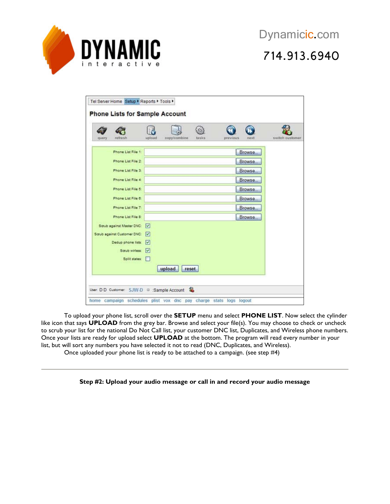

# 714.913.6940

| query | refresh                     | upload                  | copy/combine    | tasks | previous | next   | switch customer |
|-------|-----------------------------|-------------------------|-----------------|-------|----------|--------|-----------------|
|       | Phone List File 1:          |                         |                 |       |          | Browse |                 |
|       | Phone List File 2:          |                         |                 |       |          | Browse |                 |
|       | Phone List File 3:          |                         |                 |       |          | Browse |                 |
|       | Phone List File 4:          |                         |                 |       |          | Browse |                 |
|       | Phone List File 5:          |                         |                 |       |          | Browse |                 |
|       | Phone List File 6:          |                         |                 |       |          | Browse |                 |
|       | Phone List File 7:          |                         |                 |       |          | Browse |                 |
|       | Phone List File 8:          |                         |                 |       |          | Browse |                 |
|       | Scrub against Master DNC:   | $\overline{\mathbf{v}}$ |                 |       |          |        |                 |
|       | Scrub against Customer DNC: | v                       |                 |       |          |        |                 |
|       | Dedup phone lists:          | v                       |                 |       |          |        |                 |
|       | Saub wirless:               | $\overline{\mathbf{v}}$ |                 |       |          |        |                 |
|       | Split states:               |                         |                 |       |          |        |                 |
|       |                             |                         | upload<br>reset |       |          |        |                 |

To upload your phone list, scroll over the **SETUP** menu and select **PHONE LIST**. Now select the cylinder like icon that says **UPLOAD** from the grey bar. Browse and select your file(s). You may choose to check or uncheck to scrub your list for the national Do Not Call list, your customer DNC list, Duplicates, and Wireless phone numbers. Once your lists are ready for upload select **UPLOAD** at the bottom. The program will read every number in your list, but will sort any numbers you have selected it not to read (DNC, Duplicates, and Wireless).

Once uploaded your phone list is ready to be attached to a campaign. (see step #4)

#### **Step #2: Upload your audio message or call in and record your audio message**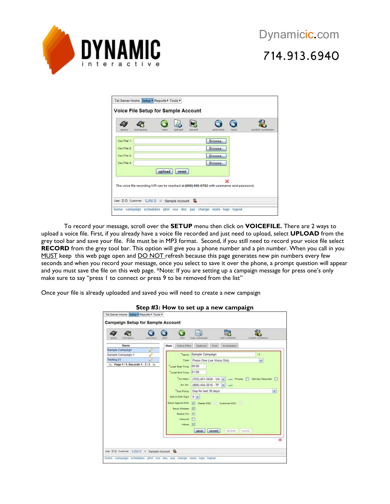

# 714.913.6940

| query       | last query. | new    | upload | record | previous                                                                                  | next | switch customer |
|-------------|-------------|--------|--------|--------|-------------------------------------------------------------------------------------------|------|-----------------|
| Vox File 1: |             |        |        |        | Browse                                                                                    |      |                 |
| Vox File 2: |             |        |        |        | Browse                                                                                    |      |                 |
| Vox File 3: |             |        |        |        | Browse                                                                                    |      |                 |
| Vox File 4  |             |        |        |        | Browse                                                                                    |      |                 |
|             |             | upload | reset  |        |                                                                                           |      |                 |
|             |             |        |        |        |                                                                                           |      |                 |
|             |             |        |        |        | The voice file recording IVR can be reached at (866) 896-9782 with username and password. |      |                 |

To record your message, scroll over the **SETUP** menu then click on **VOICEFILE.** There are 2 ways to upload a voice file. First, if you already have a voice file recorded and just need to upload, select **UPLOAD** from the grey tool bar and save your file. File must be in MP3 format. Second, if you still need to record your voice file select **RECORD** from the grey tool bar. This option will give you a phone number and a pin number. When you call in you MUST keep this web page open and DO NOT refresh because this page generates new pin numbers every few seconds and when you record your message, once you select to save it over the phone, a prompt question will appear and you must save the file on this web page. \*Note: If you are setting up a campaign message for press one's only make sure to say "press I to connect or press 9 to be removed from the list"

Once your file is already uploaded and saved you will need to create a new campaign

| циегу.     | tast query                           | previous | next | <b>There</b>           | copy campaign                      | क<br>add schedule                                   | switch oustomer                                                 |
|------------|--------------------------------------|----------|------|------------------------|------------------------------------|-----------------------------------------------------|-----------------------------------------------------------------|
|            | Name                                 |          | Main | Voice Files            | Options                            | Schedules<br>Test                                   |                                                                 |
|            | Sample Campaign                      |          |      |                        |                                    |                                                     |                                                                 |
|            | Sample Campaign-1                    |          |      |                        | "Name: Sample Campaign             |                                                     | $-1$                                                            |
| Testing 21 |                                      |          |      |                        | Type: Press One Live Voice Only    |                                                     | v                                                               |
|            | a) Page 1 / 1, Records 1 - 3 / 3 (a) |          |      | Local Start Time 09:00 |                                    |                                                     |                                                                 |
|            |                                      |          |      | Local End Time: 21:00  |                                    |                                                     |                                                                 |
|            |                                      |          |      |                        |                                    |                                                     | Ani Main: (703) 451-3434 - VA M and Privacy. Delivery Required: |
|            |                                      |          |      |                        | Ani Alt. (866) 454-3210 - TF V add |                                                     |                                                                 |
|            |                                      |          |      |                        |                                    |                                                     |                                                                 |
|            |                                      |          |      |                        | "Due Policy: Dup for last 30 days  |                                                     | ×                                                               |
|            |                                      |          |      | Add to DNC Digit 9 M   |                                    |                                                     |                                                                 |
|            |                                      |          |      |                        |                                    | Squb Against DNC: [v] Master DNC: V Customer DNC: V |                                                                 |
|            |                                      |          |      | Saub Wireless [V]      |                                    |                                                     |                                                                 |
|            |                                      |          |      | Record Tnr V           |                                    |                                                     |                                                                 |
|            |                                      |          |      | Inbound:               |                                    |                                                     |                                                                 |
|            |                                      |          |      | Active: V              |                                    |                                                     |                                                                 |
|            |                                      |          |      |                        | save                               | revert<br>delete                                    | move                                                            |
|            |                                      |          |      |                        |                                    |                                                     |                                                                 |
|            |                                      |          |      |                        |                                    |                                                     |                                                                 |

#### **Step #3: How to set up a new campaign**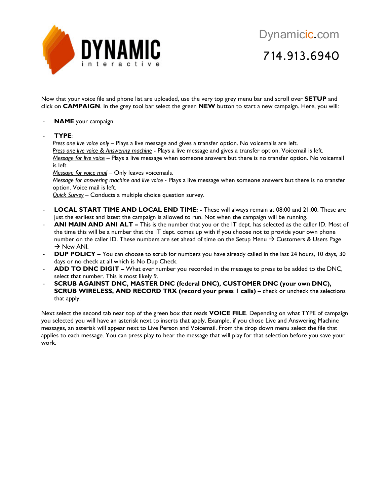

Now that your voice file and phone list are uploaded, use the very top grey menu bar and scroll over **SETUP** and click on **CAMPAIGN**. In the grey tool bar select the green **NEW** button to start a new campaign. Here, you will:

- NAME your campaign.
- **TYPE**:

*Press one live voice only* – Plays a live message and gives a transfer option. No voicemails are left. *Press one live voice & Answering machine* - Plays a live message and gives a transfer option. Voicemail is left. *Message for live voice* – Plays a live message when someone answers but there is no transfer option. No voicemail is left.

*Message for voice mail* – Only leaves voicemails.

*Message for answering machine and live voice* - Plays a live message when someone answers but there is no transfer option. Voice mail is left.

*Quick Survey* – Conducts a multiple choice question survey.

- **LOCAL START TIME AND LOCAL END TIME: -** These will always remain at 08:00 and 21:00. These are just the earliest and latest the campaign is allowed to run. Not when the campaign will be running.
- ANI MAIN AND ANI ALT This is the number that you or the IT dept. has selected as the caller ID. Most of the time this will be a number that the IT dept. comes up with if you choose not to provide your own phone number on the caller ID. These numbers are set ahead of time on the Setup Menu  $\rightarrow$  Customers & Users Page  $\rightarrow$  New ANI.
- **DUP POLICY –** You can choose to scrub for numbers you have already called in the last 24 hours, 10 days, 30 days or no check at all which is No Dup Check.
- ADD TO DNC DIGIT What ever number you recorded in the message to press to be added to the DNC, select that number. This is most likely 9.
- **SCRUB AGAINST DNC, MASTER DNC (federal DNC), CUSTOMER DNC (your own DNC), SCRUB WIRELESS, AND RECORD TRX (record your press 1 calls) –** check or uncheck the selections that apply.

Next select the second tab near top of the green box that reads **VOICE FILE**. Depending on what TYPE of campaign you selected you will have an asterisk next to inserts that apply. Example, if you chose Live and Answering Machine messages, an asterisk will appear next to Live Person and Voicemail. From the drop down menu select the file that applies to each message. You can press play to hear the message that will play for that selection before you save your work.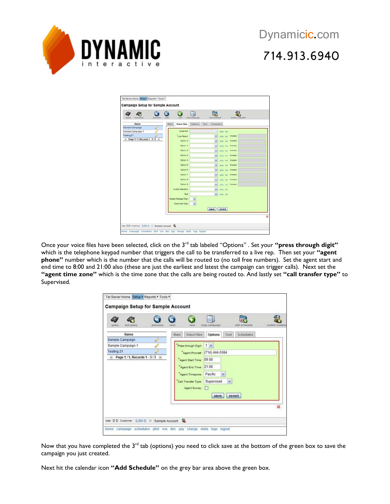

| 67<br>last query<br>previous<br>query          | nest<br><b>INEME</b> | lar.<br>add schedule<br>onpy campaign | switch customer   |
|------------------------------------------------|----------------------|---------------------------------------|-------------------|
| Name                                           | Main<br>Voice Files  | Test<br>Schedules<br><b>Options</b>   |                   |
| Sample Campaign<br>Î<br>Sample Campaign-1<br>₽ | Voicemail            | ×                                     | play set          |
| Testing 21<br>P                                | "Live Parson         | $\sim$                                | play set Answers: |
| " Page 1/1, Records 1 - 3/3 "                  | Oetion 8             | ×                                     | play out Answers: |
|                                                | Option 1             | v                                     |                   |
|                                                |                      |                                       | play out Answers  |
|                                                | Outlan 2:            | ×                                     | play out Answers: |
|                                                | Option 3             | ×                                     | play set Answers: |
|                                                | Ootion 4             | v                                     | play set Answers. |
|                                                | Ootion 6             | $\overline{\phantom{a}}$              | play not Animers: |
|                                                | Oation 6:            | $\overline{\phantom{a}}$              | play out Answers: |
|                                                | Option 7             | M                                     | play set Answers  |
|                                                | Outlinn &            | ×                                     | play set Answers: |
|                                                | Ootlon 9:            | M                                     | play set Answers  |
|                                                | Invalid Selection    | M                                     | play ast          |
|                                                | 9 <sub>1</sub>       | M                                     | play not          |
|                                                | Repeat Message Digit | $\sim$                                |                   |
|                                                | Disconnect Digit     | $\sim$                                |                   |
|                                                |                      | save                                  | revert            |
|                                                |                      |                                       |                   |

Once your voice files have been selected, click on the 3rd tab labeled "Options" . Set your **"press through digit"** which is the telephone keypad number that triggers the call to be transferred to a live rep. Then set your **"agent phone"** number which is the number that the calls will be routed to (no toll free numbers). Set the agent start and end time to 8:00 and 21:00 also (these are just the earliest and latest the campaign can trigger calls). Next set the **"agent time zone"** which is the time zone that the calls are being routed to. And lastly set **"call transfer type"** to Supervised.

| tast query<br>query<br>previous     | add schedule<br>copy campaign<br><b>FARSET</b><br><b>TIEW</b><br>switch custor |
|-------------------------------------|--------------------------------------------------------------------------------|
| Name<br>g<br>Sample Campaign        | Voice Files<br>Schedules<br>Main<br>Test<br>Options                            |
| Ô<br>Sample Campaign-1              | 1 <sup>2</sup><br>Press through Digit:                                         |
| Testing 21<br>$\mathcal{L}$         | Agent Phone (714) 444-5564                                                     |
| Page 1/1, Records 1 - 3/3 »<br>44.1 | 09:00<br>Agent Start Time:                                                     |
|                                     | Agent End Time: 21:00                                                          |
|                                     | Pacific<br>$\overline{\phantom{a}}$<br>Agent Timezone:                         |
|                                     | Supervised<br>×<br>Call Transfer Type:                                         |
|                                     | Agent Survey:<br><b>IC</b>                                                     |
|                                     | revert<br>save                                                                 |
|                                     |                                                                                |
|                                     | ×                                                                              |

Now that you have completed the 3<sup>rd</sup> tab (options) you need to click save at the bottom of the green box to save the campaign you just created.

Next hit the calendar icon **"Add Schedule"** on the grey bar area above the green box.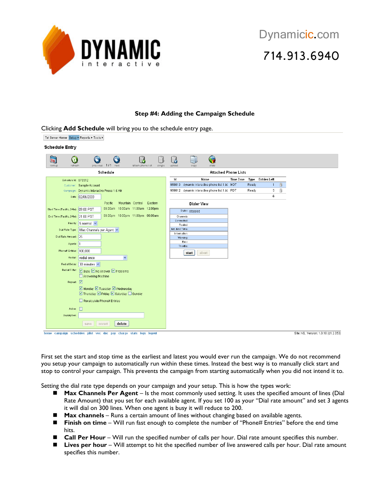

Clicking **Add Schedule** will bring you to the schedule entry page.

#### **Step #4: Adding the Campaign Schedule**

| Tel Server Home Setup ▶ Reports ▶ Tools ▶                              |                                                                   |                                         |                         |             |                |                     |                                                 |                  |       |                   |   |
|------------------------------------------------------------------------|-------------------------------------------------------------------|-----------------------------------------|-------------------------|-------------|----------------|---------------------|-------------------------------------------------|------------------|-------|-------------------|---|
| <b>Schedule Entry</b>                                                  |                                                                   |                                         |                         |             |                |                     |                                                 |                  |       |                   |   |
| $\overline{\mathbf{28}}$<br>$\boldsymbol{\Omega}$<br>lookup<br>refresh | A                                                                 | N<br>previous 1/1 next                  | Ud<br>attach phone list | H<br>single | 6<br>upload    | copy                | 8<br>stats                                      |                  |       |                   |   |
|                                                                        |                                                                   | Schedule                                |                         |             |                |                     | <b>Attached Phone Lists</b>                     |                  |       |                   |   |
| Schedule Id: 670512                                                    |                                                                   |                                         |                         |             | Id             |                     | Name                                            | <b>Time Zone</b> |       | Type Entries Left |   |
|                                                                        | Customer: Sample Account                                          |                                         |                         |             |                |                     | 959813 dynamic interactive phone list 1.bt MDT  |                  | Ready | $\overline{1}$    | Ũ |
|                                                                        | Campaign: Dynamic Interactive Press 1 & VM                        |                                         |                         |             |                |                     | 959812 dynamic interactive phone list 1.txt PDT |                  | Ready | 5                 | ü |
|                                                                        | Date: 02/06/2009                                                  |                                         |                         |             |                |                     |                                                 |                  |       | 6                 |   |
|                                                                        |                                                                   | Pacific                                 | Mountain Central        | Eastern     |                | <b>Dialer View</b>  |                                                 |                  |       |                   |   |
| Start Time (Pacific, 24hr): 09:00 PST                                  |                                                                   | 09:00am 10:00am 11:00am 12:00pm         |                         |             |                | Dialer: stopped     |                                                 |                  |       |                   |   |
| End Time (Pacific, 24hr): 21:00 PST                                    |                                                                   | 09:00pm 10:00pm 11:00pm 00:00am         |                         |             |                | Channels:           |                                                 |                  |       |                   |   |
|                                                                        | Priority: 5 normal v                                              |                                         |                         |             | Connected:     |                     |                                                 |                  |       |                   |   |
|                                                                        |                                                                   |                                         |                         |             | Est. End Time: | Routed:             |                                                 |                  |       |                   |   |
|                                                                        | Dial Rate Type:   Max Channels per Agent                          |                                         |                         |             | Information:   |                     |                                                 |                  |       |                   |   |
| Dial Rate Amount: 25                                                   |                                                                   |                                         |                         |             |                | Warning:            |                                                 |                  |       |                   |   |
| Agents:  1                                                             |                                                                   |                                         |                         |             |                | Error:<br>Throttle: |                                                 |                  |       |                   |   |
| Phone# Entries: 100.000                                                |                                                                   |                                         |                         |             |                | abort<br>start      |                                                 |                  |       |                   |   |
|                                                                        | Redial: redial once                                               |                                         | $\checkmark$            |             |                |                     |                                                 |                  |       |                   |   |
|                                                                        | Redial Delay: 30 minutes                                          |                                         |                         |             |                |                     |                                                 |                  |       |                   |   |
|                                                                        |                                                                   |                                         |                         |             |                |                     |                                                 |                  |       |                   |   |
|                                                                        | Redial Filter: D Busy D No Answer D Problems<br>Answering Machine |                                         |                         |             |                |                     |                                                 |                  |       |                   |   |
| Repeat: Ø                                                              |                                                                   |                                         |                         |             |                |                     |                                                 |                  |       |                   |   |
|                                                                        |                                                                   | ☑ Monday ☑ Tuesday ☑ Wednesday          |                         |             |                |                     |                                                 |                  |       |                   |   |
|                                                                        |                                                                   | ■ Thursday ■ Friday ■ Saturday ■ Sunday |                         |             |                |                     |                                                 |                  |       |                   |   |
|                                                                        | Recalculate Phone# Entries                                        |                                         |                         |             |                |                     |                                                 |                  |       |                   |   |
| Active:                                                                |                                                                   |                                         |                         |             |                |                     |                                                 |                  |       |                   |   |
| Description:                                                           |                                                                   |                                         |                         |             |                |                     |                                                 |                  |       |                   |   |
|                                                                        | save                                                              | delete<br>revert                        |                         |             |                |                     |                                                 |                  |       |                   |   |
| home campaign schedules plist vox dnc pay charge stats logs logout     |                                                                   |                                         |                         |             |                |                     |                                                 |                  |       |                   |   |

First set the start and stop time as the earliest and latest you would ever run the campaign. We do not recommend you setup your campaign to automatically run within these times. Instead the best way is to manually click start and stop to control your campaign. This prevents the campaign from starting automatically when you did not intend it to.

Setting the dial rate type depends on your campaign and your setup. This is how the types work:

- Max Channels Per Agent Is the most commonly used setting. It uses the specified amount of lines (Dial Rate Amount) that you set for each available agent. If you set 100 as your "Dial rate amount" and set 3 agents it will dial on 300 lines. When one agent is busy it will reduce to 200.
- **Max channels** Runs a certain amount of lines without changing based on available agents.
- Finish on time Will run fast enough to complete the number of "Phone# Entries" before the end time hits.
- **Call Per Hour** Will run the specified number of calls per hour. Dial rate amount specifies this number.
- Lives per hour Will attempt to hit the specified number of live answered calls per hour. Dial rate amount specifies this number.